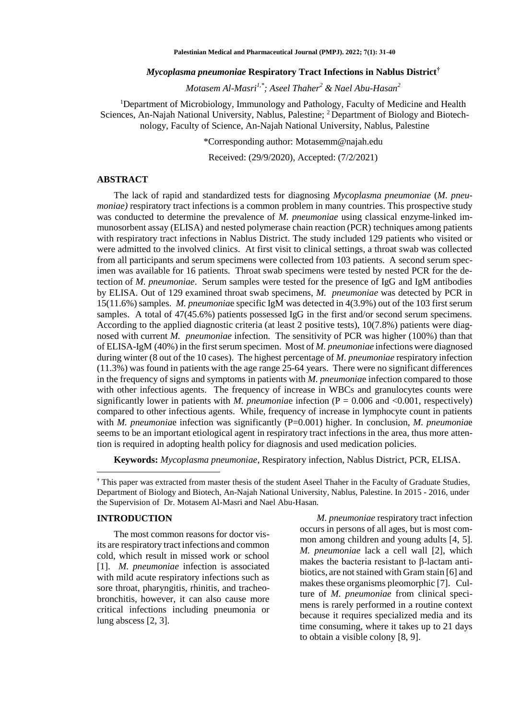#### *Mycoplasma pneumoniae* **Respiratory Tract Infections in Nablus District†**

*Motasem Al-Masri1,\*; Aseel Thaher<sup>2</sup> & Nael Abu-Hasan<sup>2</sup>*

<sup>1</sup>Department of Microbiology, Immunology and Pathology, Faculty of Medicine and Health Sciences, An-Najah National University, Nablus, Palestine; 2 Department of Biology and Biotechnology, Faculty of Science, An-Najah National University, Nablus, Palestine

\*Corresponding author: [Motasemm@najah.edu](mailto:Motasemm@najah.edu)

Received: (29/9/2020), Accepted: (7/2/2021)

## **ABSTRACT**

The lack of rapid and standardized tests for diagnosing *Mycoplasma pneumoniae* (*M. pneumoniae*) respiratory tract infections is a common problem in many countries. This prospective study was conducted to determine the prevalence of *M. pneumoniae* using classical enzyme-linked immunosorbent assay (ELISA) and nested polymerase chain reaction (PCR) techniques among patients with respiratory tract infections in Nablus District. The study included 129 patients who visited or were admitted to the involved clinics. At first visit to clinical settings, a throat swab was collected from all participants and serum specimens were collected from 103 patients. A second serum specimen was available for 16 patients. Throat swab specimens were tested by nested PCR for the detection of *M. pneumoniae*. Serum samples were tested for the presence of IgG and IgM antibodies by ELISA. Out of 129 examined throat swab specimens, *M. pneumoniae* was detected by PCR in 15(11.6%) samples*. M. pneumonia*e specific IgM was detected in 4(3.9%) out of the 103 first serum samples. A total of 47(45.6%) patients possessed IgG in the first and/or second serum specimens. According to the applied diagnostic criteria (at least 2 positive tests), 10(7.8%) patients were diagnosed with current *M. pneumoniae* infection. The sensitivity of PCR was higher (100%) than that of ELISA-IgM (40%) in the first serum specimen. Most of *M. pneumoniae* infections were diagnosed during winter (8 out of the 10 cases). The highest percentage of *M. pneumoniae* respiratory infection (11.3%) was found in patients with the age range 25-64 years. There were no significant differences in the frequency of signs and symptoms in patients with *M. pneumonia*e infection compared to those with other infectious agents. The frequency of increase in WBCs and granulocytes counts were significantly lower in patients with *M. pneumonia*e infection  $(P = 0.006$  and  $\langle 0.001$ , respectively) compared to other infectious agents. While, frequency of increase in lymphocyte count in patients with *M. pneumoniae* infection was significantly (P=0.001) higher. In conclusion, *M. pneumoniae* seems to be an important etiological agent in respiratory tract infections in the area, thus more attention is required in adopting health policy for diagnosis and used medication policies.

**Keywords:** *Mycoplasma pneumoniae*, Respiratory infection, Nablus District, PCR, ELISA.

#### **INTRODUCTION**

 $\overline{\phantom{a}}$ 

The most common reasons for doctor visits are respiratory tract infections and common cold, which result in missed work or school [1]. *M. pneumoniae* infection is associated with mild acute respiratory infections such as sore throat, pharyngitis, rhinitis, and tracheobronchitis, however, it can also cause more critical infections including pneumonia or lung abscess [2, 3].

*M. pneumoniae* respiratory tract infection occurs in persons of all ages, but is most common among children and young adults [4, 5]. *M. pneumoniae* lack a cell wall [2], which makes the bacteria resistant to β-lactam antibiotics, are not stained with Gram stain [6] and makes these organisms pleomorphic [7].Culture of *M. pneumoniae* from clinical specimens is rarely performed in a routine context because it requires specialized media and its time consuming, where it takes up to 21 days to obtain a visible colony [8, 9].

<sup>†</sup> This paper was extracted from master thesis of the student Aseel Thaher in the Faculty of Graduate Studies, Department of Biology and Biotech, An-Najah National University, Nablus, Palestine. In 2015 - 2016, under the Supervision of Dr. Motasem Al-Masri and Nael Abu-Hasan.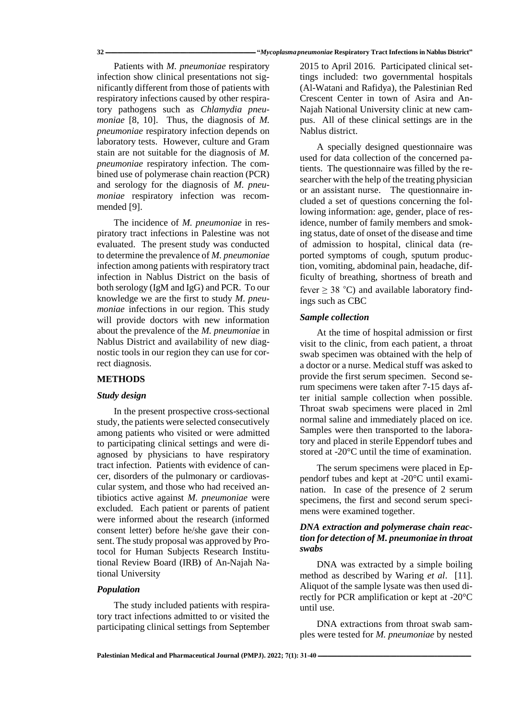Patients with *M. pneumoniae* respiratory infection show clinical presentations not significantly different from those of patients with respiratory infections caused by other respiratory pathogens such as *Chlamydia pneumoniae* [8, 10]. Thus, the diagnosis of *M. pneumoniae* respiratory infection depends on laboratory tests. However, culture and Gram stain are not suitable for the diagnosis of *M. pneumoniae* respiratory infection. The combined use of polymerase chain reaction (PCR) and serology for the diagnosis of *M. pneumoniae* respiratory infection was recommended [9].

The incidence of *M. pneumoniae* in respiratory tract infections in Palestine was not evaluated. The present study was conducted to determine the prevalence of *M. pneumoniae* infection among patients with respiratory tract infection in Nablus District on the basis of both serology (IgM and IgG) and PCR. To our knowledge we are the first to study *M. pneumoniae* infections in our region. This study will provide doctors with new information about the prevalence of the *M. pneumoniae* in Nablus District and availability of new diagnostic tools in our region they can use for correct diagnosis.

## **METHODS**

#### *Study design*

In the present prospective cross-sectional study, the patients were selected consecutively among patients who visited or were admitted to participating clinical settings and were diagnosed by physicians to have respiratory tract infection. Patients with evidence of cancer, disorders of the pulmonary or cardiovascular system, and those who had received antibiotics active against *M. pneumoniae* were excluded. Each patient or parents of patient were informed about the research (informed consent letter) before he/she gave their consent. The study proposal was approved by Protocol for Human Subjects Research Institutional Review Board (IRB) of An-Najah National University

#### *Population*

The study included patients with respiratory tract infections admitted to or visited the participating clinical settings from September

2015 to April 2016. Participated clinical settings included: two governmental hospitals (Al-Watani and Rafidya), the Palestinian Red Crescent Center in town of Asira and An-Najah National University clinic at new campus. All of these clinical settings are in the Nablus district.

A specially designed questionnaire was used for data collection of the concerned patients. The questionnaire was filled by the researcher with the help of the treating physician or an assistant nurse. The questionnaire included a set of questions concerning the following information: age, gender, place of residence, number of family members and smoking status, date of onset of the disease and time of admission to hospital, clinical data (reported symptoms of cough, sputum production, vomiting, abdominal pain, headache, difficulty of breathing, shortness of breath and fever  $> 38$  °C) and available laboratory findings such as CBC

### *Sample collection*

At the time of hospital admission or first visit to the clinic, from each patient, a throat swab specimen was obtained with the help of a doctor or a nurse. Medical stuff was asked to provide the first serum specimen. Second serum specimens were taken after 7-15 days after initial sample collection when possible. Throat swab specimens were placed in 2ml normal saline and immediately placed on ice. Samples were then transported to the laboratory and placed in sterile Eppendorf tubes and stored at -20°C until the time of examination.

The serum specimens were placed in Eppendorf tubes and kept at -20°C until examination. In case of the presence of 2 serum specimens, the first and second serum specimens were examined together.

## *DNA extraction and polymerase chain reaction for detection of M. pneumoniae in throat swabs*

DNA was extracted by a simple boiling method as described by Waring *et al*. [11]. Aliquot of the sample lysate was then used directly for PCR amplification or kept at -20°C until use.

DNA extractions from throat swab samples were tested for *M. pneumoniae* by nested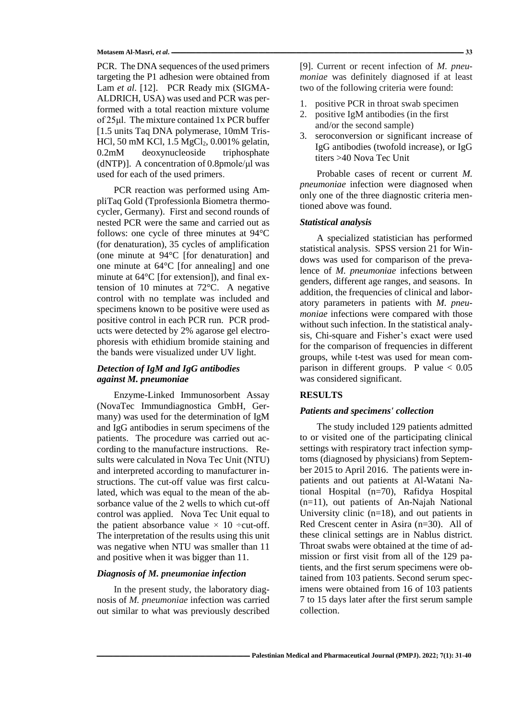PCR. The DNA sequences of the used primers targeting the P1 adhesion were obtained from Lam *et al.* [12]. PCR Ready mix (SIGMA-ALDRICH, USA) was used and PCR was performed with a total reaction mixture volume of 25μl. The mixture contained 1x PCR buffer [1.5 units Taq DNA polymerase, 10mM Tris-HCl, 50 mM KCl, 1.5 MgCl<sub>2</sub>, 0.001% gelatin, 0.2mM deoxynucleoside triphosphate (dNTP)]. A concentration of 0.8pmole/μl was used for each of the used primers.

PCR reaction was performed using AmpliTaq Gold (Tprofessionla Biometra thermocycler, Germany). First and second rounds of nested PCR were the same and carried out as follows: one cycle of three minutes at 94°C (for denaturation), 35 cycles of amplification (one minute at 94°C [for denaturation] and one minute at 64°C [for annealing] and one minute at 64°C [for extension]), and final extension of 10 minutes at 72°C. A negative control with no template was included and specimens known to be positive were used as positive control in each PCR run. PCR products were detected by 2% agarose gel electrophoresis with ethidium bromide staining and the bands were visualized under UV light.

# *Detection of IgM and IgG antibodies against M. pneumoniae*

Enzyme-Linked Immunosorbent Assay (NovaTec Immundiagnostica GmbH, Germany) was used for the determination of IgM and IgG antibodies in serum specimens of the patients. The procedure was carried out according to the manufacture instructions. Results were calculated in Nova Tec Unit (NTU) and interpreted according to manufacturer instructions. The cut-off value was first calculated, which was equal to the mean of the absorbance value of the 2 wells to which cut-off control was applied. Nova Tec Unit equal to the patient absorbance value  $\times$  10 ÷cut-off. The interpretation of the results using this unit was negative when NTU was smaller than 11 and positive when it was bigger than 11.

## *Diagnosis of M. pneumoniae infection*

In the present study, the laboratory diagnosis of *M. pneumoniae* infection was carried out similar to what was previously described

[9]. Current or recent infection of *M. pneumoniae* was definitely diagnosed if at least two of the following criteria were found:

- 1. positive PCR in throat swab specimen
- 2. positive IgM antibodies (in the first and/or the second sample)
- 3. seroconversion or significant increase of IgG antibodies (twofold increase), or IgG titers >40 Nova Tec Unit

Probable cases of recent or current *M. pneumoniae* infection were diagnosed when only one of the three diagnostic criteria mentioned above was found.

#### *Statistical analysis*

A specialized statistician has performed statistical analysis. SPSS version 21 for Windows was used for comparison of the prevalence of *M. pneumoniae* infections between genders, different age ranges, and seasons. In addition, the frequencies of clinical and laboratory parameters in patients with *M. pneumoniae* infections were compared with those without such infection. In the statistical analysis, Chi-square and Fisher's exact were used for the comparison of frequencies in different groups, while t-test was used for mean comparison in different groups. P value  $< 0.05$ was considered significant.

### **RESULTS**

### *Patients and specimens' collection*

The study included 129 patients admitted to or visited one of the participating clinical settings with respiratory tract infection symptoms (diagnosed by physicians) from September 2015 to April 2016. The patients were inpatients and out patients at Al-Watani National Hospital (n=70), Rafidya Hospital (n=11), out patients of An-Najah National University clinic  $(n=18)$ , and out patients in Red Crescent center in Asira (n=30). All of these clinical settings are in Nablus district. Throat swabs were obtained at the time of admission or first visit from all of the 129 patients, and the first serum specimens were obtained from 103 patients. Second serum specimens were obtained from 16 of 103 patients 7 to 15 days later after the first serum sample collection.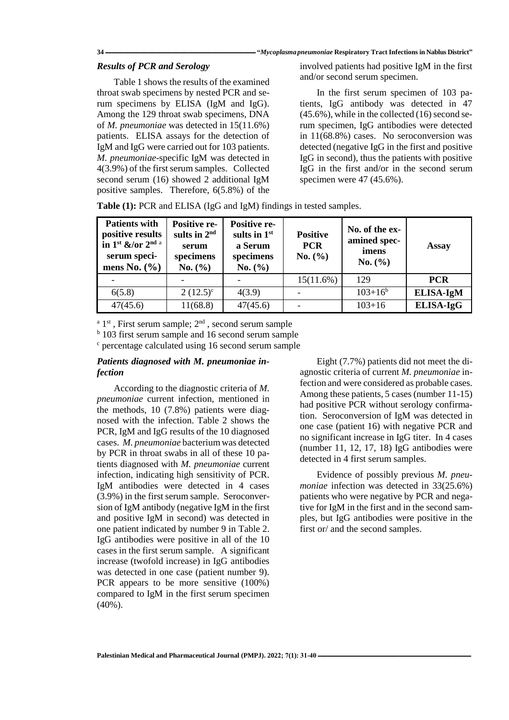## *Results of PCR and Serology*

Table 1 shows the results of the examined throat swab specimens by nested PCR and serum specimens by ELISA (IgM and IgG). Among the 129 throat swab specimens, DNA of *M. pneumoniae* was detected in 15(11.6%) patients. ELISA assays for the detection of IgM and IgG were carried out for 103 patients. *M. pneumoniae*-specific IgM was detected in 4(3.9%) of the first serum samples. Collected second serum (16) showed 2 additional IgM positive samples. Therefore, 6(5.8%) of the

involved patients had positive IgM in the first and/or second serum specimen.

In the first serum specimen of 103 patients, IgG antibody was detected in 47 (45.6%), while in the collected (16) second serum specimen, IgG antibodies were detected in 11(68.8%) cases. No seroconversion was detected (negative IgG in the first and positive IgG in second), thus the patients with positive IgG in the first and/or in the second serum specimen were 47 (45.6%).

| Table (1): PCR and ELISA (IgG and IgM) findings in tested samples. |  |  |  |
|--------------------------------------------------------------------|--|--|--|
|                                                                    |  |  |  |

| <b>Patients with</b><br>positive results<br>in 1st $\&$ /or 2 <sup>nd a</sup><br>serum speci-<br>mens No. $(\% )$ | <b>Positive re-</b><br>sults in $2nd$<br>serum<br>specimens<br>No. (%) | <b>Positive re-</b><br>sults in $1st$<br>a Serum<br>specimens<br>No. (%) | <b>Positive</b><br><b>PCR</b><br>No. (%) | No. of the ex-<br>amined spec-<br>imens<br>No. (%) | Assay            |
|-------------------------------------------------------------------------------------------------------------------|------------------------------------------------------------------------|--------------------------------------------------------------------------|------------------------------------------|----------------------------------------------------|------------------|
|                                                                                                                   |                                                                        |                                                                          | 15(11.6%)                                | 129                                                | <b>PCR</b>       |
| 6(5.8)                                                                                                            | $2(12.5)^{\circ}$                                                      | 4(3.9)                                                                   |                                          | $103+16^b$                                         | <b>ELISA-IgM</b> |
| 47(45.6)                                                                                                          | 11(68.8)                                                               | 47(45.6)                                                                 |                                          | $103 + 16$                                         | ELISA-IgG        |

 $a^a$  1<sup>st</sup>, First serum sample;  $2<sup>nd</sup>$ , second serum sample

<sup>b</sup> 103 first serum sample and 16 second serum sample

<sup>c</sup> percentage calculated using 16 second serum sample

## *Patients diagnosed with M. pneumoniae infection*

According to the diagnostic criteria of *M. pneumoniae* current infection, mentioned in the methods, 10 (7.8%) patients were diagnosed with the infection. Table 2 shows the PCR, IgM and IgG results of the 10 diagnosed cases. *M. pneumoniae* bacterium was detected by PCR in throat swabs in all of these 10 patients diagnosed with *M. pneumoniae* current infection, indicating high sensitivity of PCR. IgM antibodies were detected in 4 cases (3.9%) in the first serum sample. Seroconversion of IgM antibody (negative IgM in the first and positive IgM in second) was detected in one patient indicated by number 9 in Table 2. IgG antibodies were positive in all of the 10 cases in the first serum sample. A significant increase (twofold increase) in IgG antibodies was detected in one case (patient number 9). PCR appears to be more sensitive (100%) compared to IgM in the first serum specimen (40%).

Eight (7.7%) patients did not meet the diagnostic criteria of current *M. pneumoniae* infection and were considered as probable cases. Among these patients, 5 cases (number 11-15) had positive PCR without serology confirmation. Seroconversion of IgM was detected in one case (patient 16) with negative PCR and no significant increase in IgG titer. In 4 cases (number 11, 12, 17, 18) IgG antibodies were detected in 4 first serum samples.

Evidence of possibly previous *M. pneumoniae* infection was detected in 33(25.6%) patients who were negative by PCR and negative for IgM in the first and in the second samples, but IgG antibodies were positive in the first or/ and the second samples.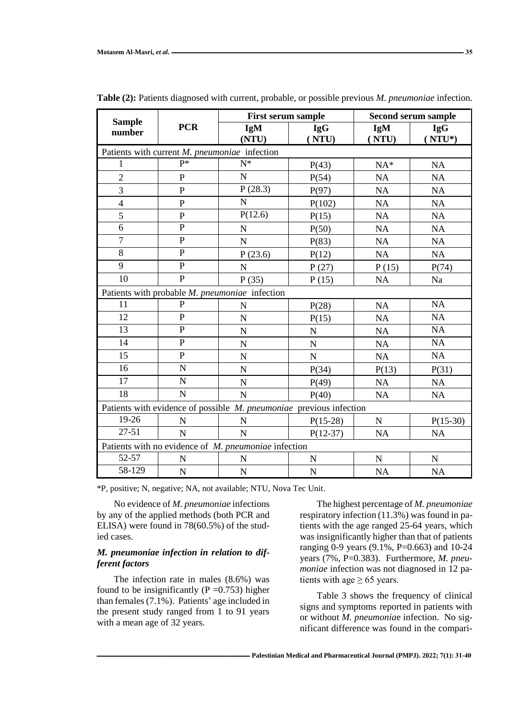| <b>Sample</b><br>number                                             | <b>PCR</b>     | <b>First serum sample</b>                      |                     | <b>Second serum sample</b> |                         |  |
|---------------------------------------------------------------------|----------------|------------------------------------------------|---------------------|----------------------------|-------------------------|--|
|                                                                     |                | <b>IgM</b><br>(NTU)                            | <b>IgG</b><br>(NTU) | <b>IgM</b><br>(NTU)        | <b>IgG</b><br>$(NTU^*)$ |  |
|                                                                     |                | Patients with current M. pneumoniae infection  |                     |                            |                         |  |
| 1                                                                   | $P^*$          | $\overline{N^*}$                               | P(43)               | $NA*$                      | NA                      |  |
| $\overline{2}$                                                      | $\overline{P}$ | N                                              | P(54)               | NA                         | NA                      |  |
| 3                                                                   | $\overline{P}$ | P(28.3)                                        | P(97)               | <b>NA</b>                  | NA                      |  |
| $\overline{4}$                                                      | $\mathbf{P}$   | N                                              | P(102)              | NA                         | NA                      |  |
| 5                                                                   | $\mathbf P$    | P(12.6)                                        | P(15)               | <b>NA</b>                  | NA                      |  |
| 6                                                                   | $\overline{P}$ | $\mathbf N$                                    | P(50)               | <b>NA</b>                  | NA                      |  |
| $\overline{7}$                                                      | $\overline{P}$ | N                                              | P(83)               | NA                         | NA                      |  |
| $\overline{8}$                                                      | $\overline{P}$ | P(23.6)                                        | P(12)               | <b>NA</b>                  | <b>NA</b>               |  |
| 9                                                                   | $\overline{P}$ | $\overline{N}$                                 | P(27)               | P(15)                      | P(74)                   |  |
| 10                                                                  | $\overline{P}$ | P(35)                                          | P(15)               | NA                         | Na                      |  |
|                                                                     |                | Patients with probable M. pneumoniae infection |                     |                            |                         |  |
| 11                                                                  | P              | $\mathbf N$                                    | P(28)               | NA                         | NA                      |  |
| 12                                                                  | $\overline{P}$ | N                                              | P(15)               | <b>NA</b>                  | NA                      |  |
| 13                                                                  | $\overline{P}$ | $\mathbf N$                                    | $\mathbf N$         | NA                         | NA                      |  |
| 14                                                                  | $\overline{P}$ | N                                              | ${\bf N}$           | NA                         | NA                      |  |
| 15                                                                  | $\mathbf P$    | $\mathbf N$                                    | $\mathbf N$         | NA                         | NA                      |  |
| 16                                                                  | N              | $\mathbf N$                                    | P(34)               | P(13)                      | P(31)                   |  |
| 17                                                                  | N              | N                                              | P(49)               | NA                         | NA                      |  |
| 18                                                                  | $\mathbf N$    | ${\bf N}$                                      | P(40)               | NA                         | NA                      |  |
| Patients with evidence of possible M. pneumoniae previous infection |                |                                                |                     |                            |                         |  |
| 19-26                                                               | N              | N                                              | $P(15-28)$          | ${\bf N}$                  | $P(15-30)$              |  |
| $27 - 51$                                                           | N              | N                                              | $P(12-37)$          | <b>NA</b>                  | NA                      |  |
| Patients with no evidence of M. pneumoniae infection                |                |                                                |                     |                            |                         |  |
| 52-57                                                               | N              | $\mathbf N$                                    | $\mathbf N$         | $\mathbf N$                | $\mathbf N$             |  |
| 58-129                                                              | ${\bf N}$      | ${\bf N}$                                      | ${\bf N}$           | NA                         | NA                      |  |

**Table (2):** Patients diagnosed with current, probable, or possible previous *M. pneumoniae* infection.

\*P, positive; N, negative; NA, not available; NTU, Nova Tec Unit.

No evidence of *M. pneumoniae* infections by any of the applied methods (both PCR and ELISA) were found in 78(60.5%) of the studied cases.

# *M. pneumoniae infection in relation to different factors*

The infection rate in males (8.6%) was found to be insignificantly ( $P = 0.753$ ) higher than females (7.1%). Patients' age included in the present study ranged from 1 to 91 years with a mean age of 32 years.

The highest percentage of *M. pneumoniae* respiratory infection (11.3%) was found in patients with the age ranged 25-64 years, which was insignificantly higher than that of patients ranging 0-9 years (9.1%, P=0.663) and 10-24 years (7%, P=0.383). Furthermore, *M. pneumoniae* infection was not diagnosed in 12 patients with age  $\geq$  65 years.

Table 3 shows the frequency of clinical signs and symptoms reported in patients with or without *M. pneumonia*e infection. No significant difference was found in the compari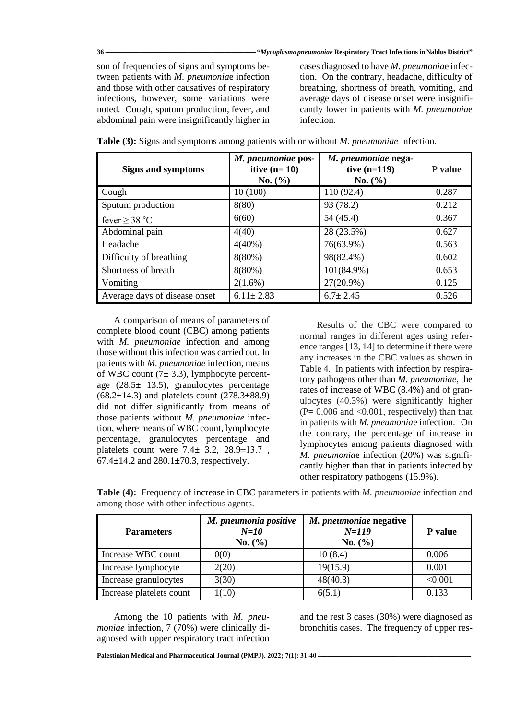son of frequencies of signs and symptoms between patients with *M. pneumonia*e infection and those with other causatives of respiratory infections, however, some variations were noted. Cough, sputum production, fever, and abdominal pain were insignificantly higher in

cases diagnosed to have *M. pneumonia*e infection. On the contrary, headache, difficulty of breathing, shortness of breath, vomiting, and average days of disease onset were insignificantly lower in patients with *M. pneumonia*e infection.

| <b>Signs and symptoms</b>     | M. pneumoniae pos-<br>itive $(n=10)$<br>No. (%) | M. pneumoniae nega-<br>tive $(n=119)$<br>No. $(\% )$ | P value |
|-------------------------------|-------------------------------------------------|------------------------------------------------------|---------|
| Cough                         | 10(100)                                         | 110(92.4)                                            | 0.287   |
| Sputum production             | 8(80)                                           | 93 (78.2)                                            | 0.212   |
| fever $\geq$ 38 °C            | 6(60)                                           | 54 (45.4)                                            | 0.367   |
| Abdominal pain                | 4(40)                                           | 28 (23.5%)                                           | 0.627   |
| Headache                      | $4(40\%)$                                       | 76(63.9%)                                            | 0.563   |
| Difficulty of breathing       | $8(80\%)$                                       | 98(82.4%)                                            | 0.602   |
| Shortness of breath           | $8(80\%)$                                       | $101(84.9\%)$                                        | 0.653   |
| Vomiting                      | $2(1.6\%)$                                      | $27(20.9\%)$                                         | 0.125   |
| Average days of disease onset | $6.11 \pm 2.83$                                 | $6.7 \pm 2.45$                                       | 0.526   |

**Table (3):** Signs and symptoms among patients with or without *M. pneumoniae* infection.

A comparison of means of parameters of complete blood count (CBC) among patients with *M. pneumoniae* infection and among those without this infection was carried out. In patients with *M. pneumoniae* infection, means of WBC count  $(7± 3.3)$ , lymphocyte percentage (28.5± 13.5), granulocytes percentage  $(68.2 \pm 14.3)$  and platelets count  $(278.3 \pm 88.9)$ did not differ significantly from means of those patients without *M. pneumoniae* infection, where means of WBC count, lymphocyte percentage, granulocytes percentage and platelets count were  $7.4 \pm 3.2$ ,  $28.9 \pm 13.7$ , 67.4 $\pm$ 14.2 and 280.1 $\pm$ 70.3, respectively.

Results of the CBC were compared to normal ranges in different ages using reference ranges [13, 14] to determine if there were any increases in the CBC values as shown in Table 4. In patients with infection by respiratory pathogens other than *M. pneumoniae*, the rates of increase of WBC (8.4%) and of granulocytes (40.3%) were significantly higher  $(P= 0.006$  and  $< 0.001$ , respectively) than that in patients with *M. pneumonia*e infection. On the contrary, the percentage of increase in lymphocytes among patients diagnosed with *M. pneumonia*e infection (20%) was significantly higher than that in patients infected by other respiratory pathogens (15.9%).

**Table (4):** Frequency of increase in CBC parameters in patients with *M. pneumoniae* infection and among those with other infectious agents.

| <b>Parameters</b>        | M. pneumonia positive<br>$N=10$<br>No. (%) | M. pneumoniae negative<br>$N = 119$<br>No. (%) | <b>P</b> value |
|--------------------------|--------------------------------------------|------------------------------------------------|----------------|
| Increase WBC count       | 0(0)                                       | 10(8.4)                                        | 0.006          |
| Increase lymphocyte      | 2(20)                                      | 19(15.9)                                       | 0.001          |
| Increase granulocytes    | 3(30)                                      | 48(40.3)                                       | < 0.001        |
| Increase platelets count | 1(10)                                      | 6(5.1)                                         | 0.133          |

Among the 10 patients with *M. pneumoniae* infection, 7 (70%) were clinically diagnosed with upper respiratory tract infection

and the rest 3 cases (30%) were diagnosed as bronchitis cases. The frequency of upper res-

[Palestinian Medical and Pharmaceutical Journal \(PMPJ\).](https://journals.najah.edu/journal/pmpj/browse-by-issue/)  $2022$ ;  $7(1)$ :  $31-40$  -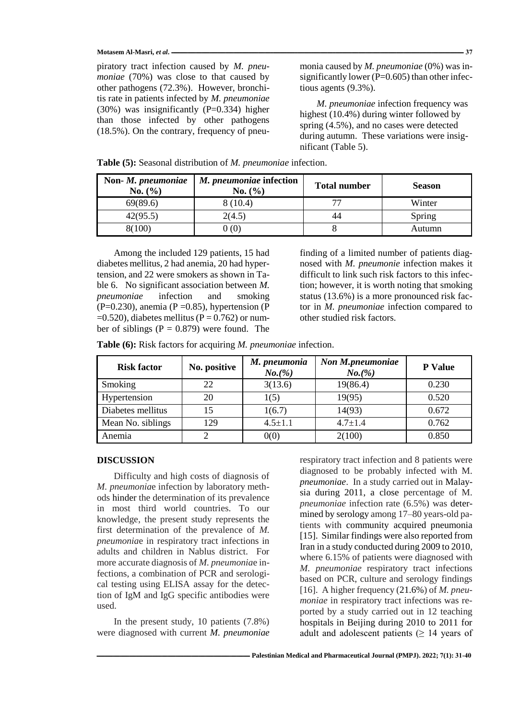#### **Motasem Al-Masri,** *et al***. ــــــــــــــــــــــــــــــــــــــــــــــــــــــــــــــــــــــــــــــــــــــــــــــــــــــــــــــــــــــــــــــــــــــــــــــــــــــــــــــــــــــــــــــــــــــــــــــــــــــــــــــــــــــــ 37**

piratory tract infection caused by *M. pneumoniae* (70%) was close to that caused by other pathogens (72.3%). However, bronchitis rate in patients infected by *M. pneumoniae*  $(30\%)$  was insignificantly  $(P=0.334)$  higher than those infected by other pathogens (18.5%). On the contrary, frequency of pneumonia caused by *M. pneumoniae* (0%) was insignificantly lower ( $P=0.605$ ) than other infectious agents (9.3%).

*M. pneumoniae* infection frequency was highest (10.4%) during winter followed by spring (4.5%), and no cases were detected during autumn. These variations were insignificant (Table 5).

| Non-M. pneumoniae<br>No. (%) | M. pneumoniae infection<br>No. (%) | <b>Total number</b> | <b>Season</b> |
|------------------------------|------------------------------------|---------------------|---------------|
| 69(89.6)                     | 8(10.4)                            | 77                  | Winter        |
| 42(95.5)                     | 2(4.5)                             | 44                  | Spring        |
| 8(100)                       | 0 (0)                              |                     | Autumn        |

**Table (5):** Seasonal distribution of *M. pneumoniae* infection.

Among the included 129 patients, 15 had diabetes mellitus, 2 had anemia, 20 had hypertension, and 22 were smokers as shown in Table 6. No significant association between *M. pneumoniae* infection and smoking  $(P=0.230)$ , anemia  $(P=0.85)$ , hypertension  $(P=0.230)$  $=0.520$ ), diabetes mellitus (P = 0.762) or number of siblings ( $P = 0.879$ ) were found. The

finding of a limited number of patients diagnosed with *M. pneumonie* infection makes it difficult to link such risk factors to this infection; however, it is worth noting that smoking status (13.6%) is a more pronounced risk factor in *M. pneumoniae* infection compared to other studied risk factors.

**Table (6):** Risk factors for acquiring *M. pneumoniae* infection.

| <b>Risk factor</b> | No. positive | M. pneumonia<br>$No.(\%)$ | Non M.pneumoniae<br>$No.(\% )$ | P Value |
|--------------------|--------------|---------------------------|--------------------------------|---------|
| Smoking            | 22           | 3(13.6)                   | 19(86.4)                       | 0.230   |
| Hypertension       | 20           | 1(5)                      | 19(95)                         | 0.520   |
| Diabetes mellitus  | 15           | 1(6.7)                    | 14(93)                         | 0.672   |
| Mean No. siblings  | 129          | $4.5 \pm 1.1$             | $4.7 \pm 1.4$                  | 0.762   |
| Anemia             |              | 0(0)                      | 2(100)                         | 0.850   |

### **DISCUSSION**

Difficulty and high costs of diagnosis of *M. pneumonia*e infection by laboratory methods hinder the determination of its prevalence in most third world countries. To our knowledge, the present study represents the first determination of the prevalence of *M. pneumonia*e in respiratory tract infections in adults and children in Nablus district. For more accurate diagnosis of *M. pneumonia*e infections, a combination of PCR and serological testing using ELISA assay for the detection of IgM and IgG specific antibodies were used.

In the present study, 10 patients (7.8%) were diagnosed with current *M. pneumoniae*

respiratory tract infection and 8 patients were diagnosed to be probably infected with M. *pneumoniae*. In a study carried out in Malaysia during 2011, a close percentage of M. *pneumoniae* infection rate (6.5%) was determined by serology among 17–80 years-old patients with community acquired pneumonia [15]. Similar findings were also reported from Iran in a study conducted during 2009 to 2010, where 6.15% of patients were diagnosed with *M. pneumoniae* respiratory tract infections based on PCR, culture and serology findings [16]. A higher frequency (21.6%) of *M. pneumoniae* in respiratory tract infections was reported by a study carried out in 12 teaching hospitals in Beijing during 2010 to 2011 for adult and adolescent patients  $(≥ 14$  years of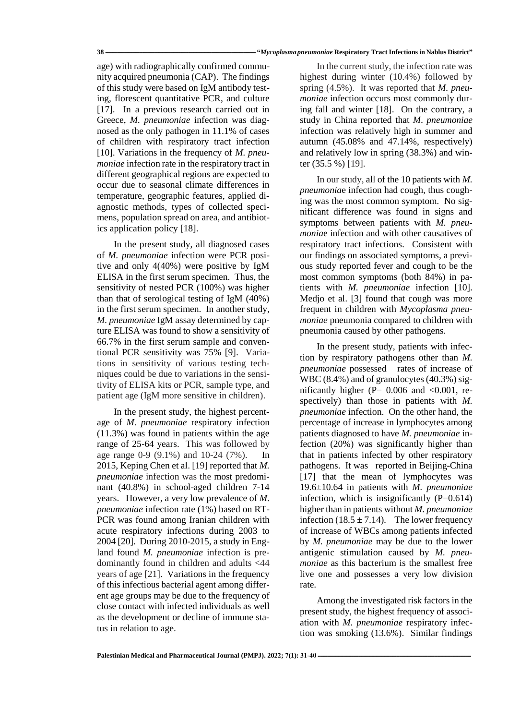#### **38 ـــــــــــــــــــــــــــــــــــــــــــــــــــــــــــــــــــــــــــــــــــــــــــــــــــــــــــــــ"** *Mycoplasma pneumoniae* **Respiratory Tract Infections in Nablus District"**

age) with radiographically confirmed community acquired pneumonia (CAP). The findings of this study were based on IgM antibody testing, florescent quantitative PCR, and culture [17]. In a previous research carried out in Greece, *M. pneumoniae* infection was diagnosed as the only pathogen in 11.1% of cases of children with respiratory tract infection [10]. Variations in the frequency of *M. pneumoniae* infection rate in the respiratory tract in different geographical regions are expected to occur due to seasonal climate differences in temperature, geographic features, applied diagnostic methods, types of collected specimens, population spread on area, and antibiotics application policy [18].

In the present study, all diagnosed cases of *M. pneumoniae* infection were PCR positive and only 4(40%) were positive by IgM ELISA in the first serum specimen. Thus, the sensitivity of nested PCR (100%) was higher than that of serological testing of IgM (40%) in the first serum specimen. In another study, *M. pneumoniae* IgM assay determined by capture ELISA was found to show a sensitivity of 66.7% in the first serum sample and conventional PCR sensitivity was 75% [9]. Variations in sensitivity of various testing techniques could be due to variations in the sensitivity of ELISA kits or PCR, sample type, and patient age (IgM more sensitive in children).

In the present study, the highest percentage of *M. pneumoniae* respiratory infection (11.3%) was found in patients within the age range of 25-64 years. This was followed by age range 0-9 (9.1%) and 10-24 (7%). In 2015, Keping Chen et al. [19] reported that *M. pneumoniae* infection was the most predominant (40.8%) in school-aged children 7-14 years. However, a very low prevalence of *M. pneumoniae* infection rate (1%) based on RT-PCR was found among Iranian children with acute respiratory infections during 2003 to 2004 [20]. During 2010-2015, a study in England found *M. pneumoniae* infection is predominantly found in children and adults <44 years of age [21]. Variations in the frequency of this infectious bacterial agent among different age groups may be due to the frequency of close contact with infected individuals as well as the development or decline of immune status in relation to age.

In the current study, the infection rate was highest during winter (10.4%) followed by spring (4.5%). It was reported that *M. pneumoniae* infection occurs most commonly during fall and winter [18]. On the contrary, a study in China reported that *M*. *pneumoniae*  infection was relatively high in summer and autumn (45.08% and 47.14%, respectively) and relatively low in spring (38.3%) and winter (35.5 %) [19].

In our study, all of the 10 patients with *M. pneumonia*e infection had cough, thus coughing was the most common symptom. No significant difference was found in signs and symptoms between patients with *M. pneumonia*e infection and with other causatives of respiratory tract infections. Consistent with our findings on associated symptoms, a previous study reported fever and cough to be the most common symptoms (both 84%) in patients with *M. pneumoniae* infection [10]. Medjo et al. [3] found that cough was more frequent in children with *Mycoplasma pneumoniae* pneumonia compared to children with pneumonia caused by other pathogens.

In the present study, patients with infection by respiratory pathogens other than *M. pneumoniae* possessed rates of increase of WBC (8.4%) and of granulocytes (40.3%) significantly higher ( $P = 0.006$  and  $\langle 0.001$ , respectively) than those in patients with *M. pneumoniae* infection. On the other hand, the percentage of increase in lymphocytes among patients diagnosed to have *M. pneumoniae* infection (20%) was significantly higher than that in patients infected by other respiratory pathogens. It was reported in Beijing-China [17] that the mean of lymphocytes was 19.6±10.64 in patients with *M. pneumoniae* infection, which is insignificantly  $(P=0.614)$ higher than in patients without *M. pneumoniae*  infection (18.5  $\pm$  7.14). The lower frequency of increase of WBCs among patients infected by *M. pneumoniae* may be due to the lower antigenic stimulation caused by *M. pneumoniae* as this bacterium is the smallest free live one and possesses a very low division rate.

Among the investigated risk factors in the present study, the highest frequency of association with *M. pneumoniae* respiratory infection was smoking (13.6%). Similar findings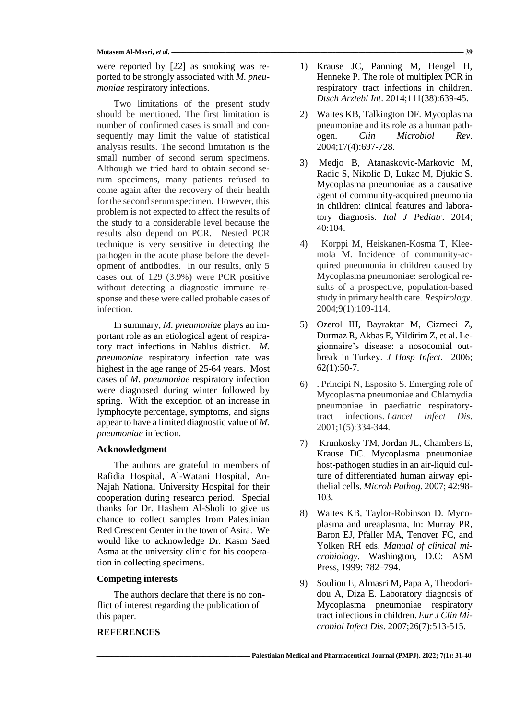#### Motasem Al-Masri, *et al.* 239

were reported by [22] as smoking was reported to be strongly associated with *M. pneumoniae* respiratory infections.

Two limitations of the present study should be mentioned. The first limitation is number of confirmed cases is small and consequently may limit the value of statistical analysis results. The second limitation is the small number of second serum specimens. Although we tried hard to obtain second serum specimens, many patients refused to come again after the recovery of their health for the second serum specimen. However, this problem is not expected to affect the results of the study to a considerable level because the results also depend on PCR. Nested PCR technique is very sensitive in detecting the pathogen in the acute phase before the development of antibodies. In our results, only 5 cases out of 129 (3.9%) were PCR positive without detecting a diagnostic immune response and these were called probable cases of infection.

In summary, *M. pneumoniae* plays an important role as an etiological agent of respiratory tract infections in Nablus district. *M. pneumoniae* respiratory infection rate was highest in the age range of 25-64 years. Most cases of *M. pneumoniae* respiratory infection were diagnosed during winter followed by spring. With the exception of an increase in lymphocyte percentage, symptoms, and signs appear to have a limited diagnostic value of *M. pneumoniae* infection.

## **Acknowledgment**

The authors are grateful to members of Rafidia Hospital, Al-Watani Hospital, An-Najah National University Hospital for their cooperation during research period. Special thanks for Dr. Hashem Al-Sholi to give us chance to collect samples from Palestinian Red Crescent Center in the town of Asira. We would like to acknowledge Dr. Kasm Saed Asma at the university clinic for his cooperation in collecting specimens.

## **Competing interests**

The authors declare that there is no conflict of interest regarding the publication of this paper.

# **REFERENCES**

- 1) Krause JC, Panning M, Hengel H, Henneke P. The role of multiplex PCR in respiratory tract infections in children. *Dtsch Arztebl Int*. 2014;111(38):639-45.
- 2) Waites KB, Talkington DF. Mycoplasma pneumoniae and its role as a human pathogen. *Clin Microbiol Rev*. 2004;17(4):697-728.
- 3) Medjo B, Atanaskovic-Markovic M, Radic S, Nikolic D, Lukac M, Djukic S. Mycoplasma pneumoniae as a causative agent of community-acquired pneumonia in children: clinical features and laboratory diagnosis. *Ital J Pediatr*. 2014; 40:104.
- 4) Korppi M, Heiskanen-Kosma T, Kleemola M. Incidence of community-acquired pneumonia in children caused by Mycoplasma pneumoniae: serological results of a prospective, population-based study in primary health care. *Respirology*. 2004;9(1):109-114.
- 5) Ozerol IH, Bayraktar M, Cizmeci Z, Durmaz R, Akbas E, Yildirim Z, et al. Legionnaire's disease: a nosocomial outbreak in Turkey. *J Hosp Infect*. 2006; 62(1):50-7.
- 6) . Principi N, Esposito S. Emerging role of Mycoplasma pneumoniae and Chlamydia pneumoniae in paediatric respiratorytract infections. *Lancet Infect Dis*. 2001;1(5):334-344.
- 7) Krunkosky TM, Jordan JL, Chambers E, Krause DC. Mycoplasma pneumoniae host-pathogen studies in an air-liquid culture of differentiated human airway epithelial cells. *Microb Pathog*. 2007; 42:98- 103.
- 8) Waites KB, Taylor-Robinson D. Mycoplasma and ureaplasma, In: Murray PR, Baron EJ, Pfaller MA, Tenover FC, and Yolken RH eds. *Manual of clinical microbiology*. Washington, D.C: ASM Press, 1999: 782–794.
- 9) Souliou E, Almasri M, Papa A, Theodoridou A, Diza E. Laboratory diagnosis of Mycoplasma pneumoniae respiratory tract infections in children. *Eur J Clin Microbiol Infect Dis*. 2007;26(7):513-515.